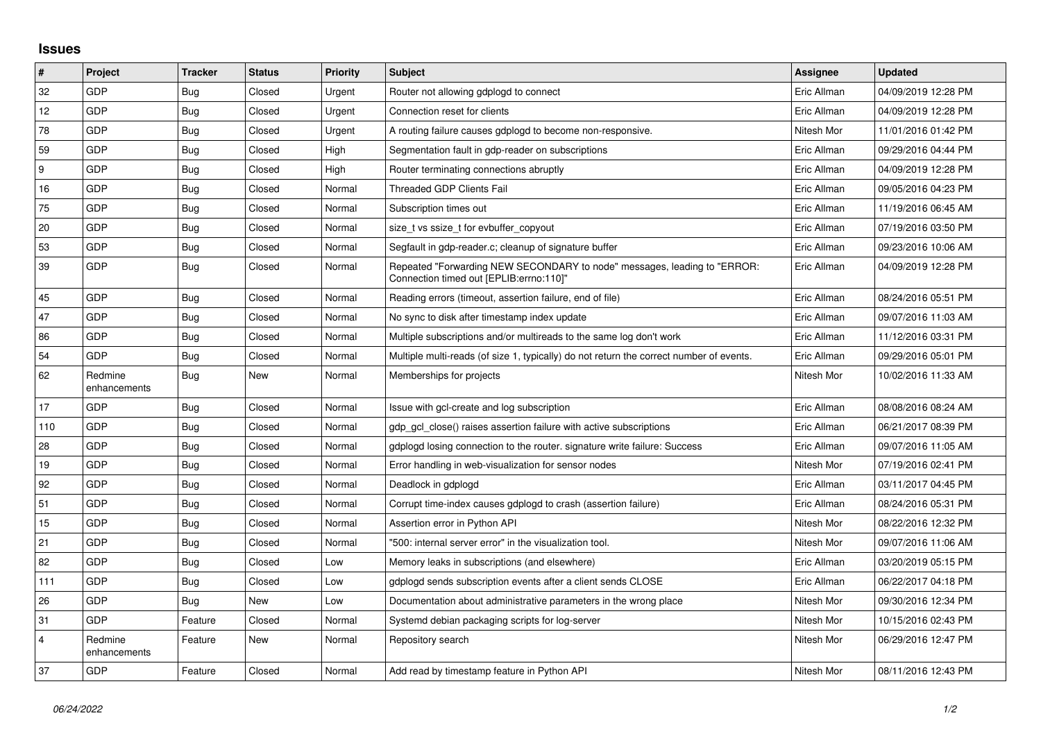## **Issues**

| $\pmb{\sharp}$          | Project                 | <b>Tracker</b> | <b>Status</b> | Priority | <b>Subject</b>                                                                                                      | <b>Assignee</b> | <b>Updated</b>      |
|-------------------------|-------------------------|----------------|---------------|----------|---------------------------------------------------------------------------------------------------------------------|-----------------|---------------------|
| 32                      | GDP                     | Bug            | Closed        | Urgent   | Router not allowing gdplogd to connect                                                                              | Eric Allman     | 04/09/2019 12:28 PM |
| 12                      | GDP                     | <b>Bug</b>     | Closed        | Urgent   | Connection reset for clients                                                                                        | Eric Allman     | 04/09/2019 12:28 PM |
| 78                      | GDP                     | <b>Bug</b>     | Closed        | Urgent   | A routing failure causes gdplogd to become non-responsive.                                                          | Nitesh Mor      | 11/01/2016 01:42 PM |
| 59                      | GDP                     | <b>Bug</b>     | Closed        | High     | Segmentation fault in gdp-reader on subscriptions                                                                   | Eric Allman     | 09/29/2016 04:44 PM |
| 9                       | GDP                     | <b>Bug</b>     | Closed        | High     | Router terminating connections abruptly                                                                             | Eric Allman     | 04/09/2019 12:28 PM |
| 16                      | GDP                     | <b>Bug</b>     | Closed        | Normal   | <b>Threaded GDP Clients Fail</b>                                                                                    | Eric Allman     | 09/05/2016 04:23 PM |
| 75                      | <b>GDP</b>              | <b>Bug</b>     | Closed        | Normal   | Subscription times out                                                                                              | Eric Allman     | 11/19/2016 06:45 AM |
| 20                      | GDP                     | <b>Bug</b>     | Closed        | Normal   | size_t vs ssize_t for evbuffer_copyout                                                                              | Eric Allman     | 07/19/2016 03:50 PM |
| 53                      | GDP                     | Bug            | Closed        | Normal   | Segfault in gdp-reader.c; cleanup of signature buffer                                                               | Eric Allman     | 09/23/2016 10:06 AM |
| 39                      | <b>GDP</b>              | <b>Bug</b>     | Closed        | Normal   | Repeated "Forwarding NEW SECONDARY to node" messages, leading to "ERROR:<br>Connection timed out [EPLIB:errno:110]" | Eric Allman     | 04/09/2019 12:28 PM |
| 45                      | GDP                     | <b>Bug</b>     | Closed        | Normal   | Reading errors (timeout, assertion failure, end of file)                                                            | Eric Allman     | 08/24/2016 05:51 PM |
| 47                      | GDP                     | <b>Bug</b>     | Closed        | Normal   | No sync to disk after timestamp index update                                                                        | Eric Allman     | 09/07/2016 11:03 AM |
| 86                      | <b>GDP</b>              | Bug            | Closed        | Normal   | Multiple subscriptions and/or multireads to the same log don't work                                                 | Eric Allman     | 11/12/2016 03:31 PM |
| 54                      | <b>GDP</b>              | <b>Bug</b>     | Closed        | Normal   | Multiple multi-reads (of size 1, typically) do not return the correct number of events.                             | Eric Allman     | 09/29/2016 05:01 PM |
| 62                      | Redmine<br>enhancements | Bug            | New           | Normal   | Memberships for projects                                                                                            | Nitesh Mor      | 10/02/2016 11:33 AM |
| 17                      | GDP                     | <b>Bug</b>     | Closed        | Normal   | Issue with gcl-create and log subscription                                                                          | Eric Allman     | 08/08/2016 08:24 AM |
| 110                     | <b>GDP</b>              | <b>Bug</b>     | Closed        | Normal   | gdp gcl close() raises assertion failure with active subscriptions                                                  | Eric Allman     | 06/21/2017 08:39 PM |
| 28                      | <b>GDP</b>              | Bug            | Closed        | Normal   | gdplogd losing connection to the router, signature write failure: Success                                           | Eric Allman     | 09/07/2016 11:05 AM |
| 19                      | GDP                     | <b>Bug</b>     | Closed        | Normal   | Error handling in web-visualization for sensor nodes                                                                | Nitesh Mor      | 07/19/2016 02:41 PM |
| 92                      | <b>GDP</b>              | <b>Bug</b>     | Closed        | Normal   | Deadlock in gdplogd                                                                                                 | Eric Allman     | 03/11/2017 04:45 PM |
| 51                      | GDP                     | Bug            | Closed        | Normal   | Corrupt time-index causes gdplogd to crash (assertion failure)                                                      | Eric Allman     | 08/24/2016 05:31 PM |
| 15                      | <b>GDP</b>              | <b>Bug</b>     | Closed        | Normal   | Assertion error in Python API                                                                                       | Nitesh Mor      | 08/22/2016 12:32 PM |
| 21                      | GDP                     | Bug            | Closed        | Normal   | '500: internal server error" in the visualization tool.                                                             | Nitesh Mor      | 09/07/2016 11:06 AM |
| 82                      | GDP                     | <b>Bug</b>     | Closed        | Low      | Memory leaks in subscriptions (and elsewhere)                                                                       | Eric Allman     | 03/20/2019 05:15 PM |
| 111                     | <b>GDP</b>              | <b>Bug</b>     | Closed        | Low      | gdplogd sends subscription events after a client sends CLOSE                                                        | Eric Allman     | 06/22/2017 04:18 PM |
| 26                      | <b>GDP</b>              | <b>Bug</b>     | New           | Low      | Documentation about administrative parameters in the wrong place                                                    | Nitesh Mor      | 09/30/2016 12:34 PM |
| 31                      | <b>GDP</b>              | Feature        | Closed        | Normal   | Systemd debian packaging scripts for log-server                                                                     | Nitesh Mor      | 10/15/2016 02:43 PM |
| $\overline{\mathbf{4}}$ | Redmine<br>enhancements | Feature        | New           | Normal   | Repository search                                                                                                   | Nitesh Mor      | 06/29/2016 12:47 PM |
| 37                      | GDP                     | Feature        | Closed        | Normal   | Add read by timestamp feature in Python API                                                                         | Nitesh Mor      | 08/11/2016 12:43 PM |